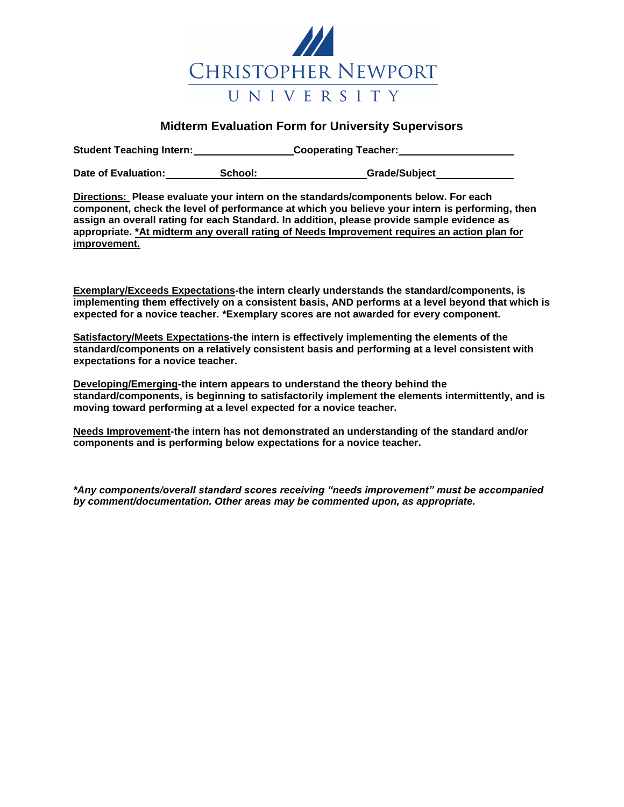

## **Midterm Evaluation Form for University Supervisors**

**Student Teaching Intern:** Cooperating Teacher: <u>Cooperating Teacher:</u>

**Date of Evaluation: School: Grade/Subject** 

**Directions: Please evaluate your intern on the standards/components below. For each component, check the level of performance at which you believe your intern is performing, then assign an overall rating for each Standard. In addition, please provide sample evidence as appropriate. \*At midterm any overall rating of Needs Improvement requires an action plan for improvement.** 

**Exemplary/Exceeds Expectations-the intern clearly understands the standard/components, is implementing them effectively on a consistent basis, AND performs at a level beyond that which is expected for a novice teacher. \*Exemplary scores are not awarded for every component.**

**Satisfactory/Meets Expectations-the intern is effectively implementing the elements of the standard/components on a relatively consistent basis and performing at a level consistent with expectations for a novice teacher.** 

**Developing/Emerging-the intern appears to understand the theory behind the standard/components, is beginning to satisfactorily implement the elements intermittently, and is moving toward performing at a level expected for a novice teacher.** 

**Needs Improvement-the intern has not demonstrated an understanding of the standard and/or components and is performing below expectations for a novice teacher.** 

*\*Any components/overall standard scores receiving "needs improvement" must be accompanied by comment/documentation. Other areas may be commented upon, as appropriate.*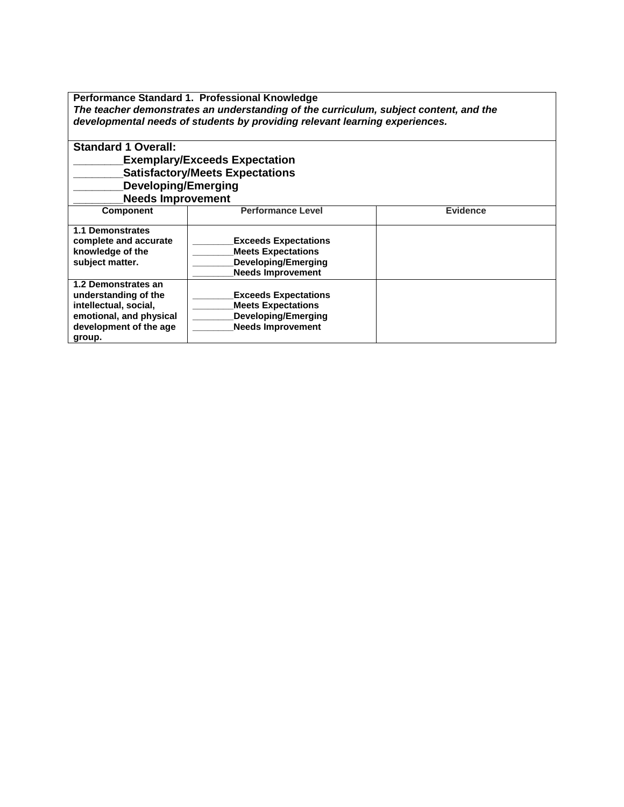**Performance Standard 1. Professional Knowledge** *The teacher demonstrates an understanding of the curriculum, subject content, and the developmental needs of students by providing relevant learning experiences.*

| <b>Standard 1 Overall:</b>           |                                        |                 |
|--------------------------------------|----------------------------------------|-----------------|
| <b>Exemplary/Exceeds Expectation</b> |                                        |                 |
|                                      | <b>Satisfactory/Meets Expectations</b> |                 |
| <b>Developing/Emerging</b>           |                                        |                 |
| <b>Needs Improvement</b>             |                                        |                 |
| <b>Component</b>                     | <b>Performance Level</b>               | <b>Evidence</b> |
|                                      |                                        |                 |
| <b>1.1 Demonstrates</b>              |                                        |                 |
| complete and accurate                | <b>Exceeds Expectations</b>            |                 |
| knowledge of the                     | <b>Meets Expectations</b>              |                 |
| subject matter.                      | Developing/Emerging                    |                 |
|                                      | <b>Needs Improvement</b>               |                 |
| 1.2 Demonstrates an                  |                                        |                 |
| understanding of the                 | <b>Exceeds Expectations</b>            |                 |
| intellectual, social,                | <b>Meets Expectations</b>              |                 |
| emotional, and physical              | <b>Developing/Emerging</b>             |                 |
| development of the age               | <b>Needs Improvement</b>               |                 |
| group.                               |                                        |                 |
|                                      |                                        |                 |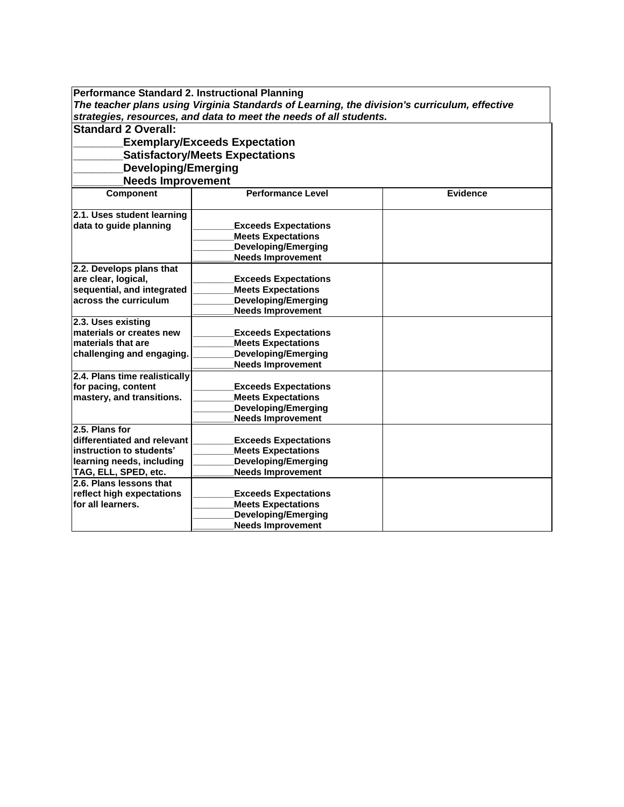| Performance Standard 2. Instructional Planning |                                                                                              |                 |  |  |
|------------------------------------------------|----------------------------------------------------------------------------------------------|-----------------|--|--|
|                                                | The teacher plans using Virginia Standards of Learning, the division's curriculum, effective |                 |  |  |
|                                                | strategies, resources, and data to meet the needs of all students.                           |                 |  |  |
| <b>Standard 2 Overall:</b>                     |                                                                                              |                 |  |  |
|                                                | <b>Exemplary/Exceeds Expectation</b>                                                         |                 |  |  |
|                                                | <b>Satisfactory/Meets Expectations</b>                                                       |                 |  |  |
| <b>Developing/Emerging</b>                     |                                                                                              |                 |  |  |
| <b>Needs Improvement</b>                       |                                                                                              |                 |  |  |
| Component                                      | <b>Performance Level</b>                                                                     | <b>Evidence</b> |  |  |
|                                                |                                                                                              |                 |  |  |
| 2.1. Uses student learning                     |                                                                                              |                 |  |  |
| data to guide planning                         | <b>Exceeds Expectations</b>                                                                  |                 |  |  |
|                                                | <b>Meets Expectations</b>                                                                    |                 |  |  |
|                                                | <b>Developing/Emerging</b>                                                                   |                 |  |  |
|                                                | <b>Needs Improvement</b>                                                                     |                 |  |  |
| 2.2. Develops plans that                       |                                                                                              |                 |  |  |
| are clear, logical,                            | <b>Exceeds Expectations</b>                                                                  |                 |  |  |
| sequential, and integrated                     | <b>Meets Expectations</b>                                                                    |                 |  |  |
| across the curriculum                          | <b>Developing/Emerging</b>                                                                   |                 |  |  |
|                                                | <b>Needs Improvement</b>                                                                     |                 |  |  |
| 2.3. Uses existing                             |                                                                                              |                 |  |  |
| materials or creates new                       | <b>Exceeds Expectations</b>                                                                  |                 |  |  |
| materials that are                             | <b>Meets Expectations</b>                                                                    |                 |  |  |
| challenging and engaging.                      | <b>Developing/Emerging</b>                                                                   |                 |  |  |
|                                                | <b>Needs Improvement</b>                                                                     |                 |  |  |
| 2.4. Plans time realistically                  |                                                                                              |                 |  |  |
| for pacing, content                            | <b>Exceeds Expectations</b>                                                                  |                 |  |  |
| mastery, and transitions.                      | <b>Meets Expectations</b>                                                                    |                 |  |  |
|                                                | <b>Developing/Emerging</b>                                                                   |                 |  |  |
|                                                | <b>Needs Improvement</b>                                                                     |                 |  |  |
| 2.5. Plans for                                 |                                                                                              |                 |  |  |
| differentiated and relevant                    | <b>Exceeds Expectations</b>                                                                  |                 |  |  |
| instruction to students'                       | <b>Meets Expectations</b>                                                                    |                 |  |  |
| learning needs, including                      | <b>Developing/Emerging</b>                                                                   |                 |  |  |
| TAG, ELL, SPED, etc.                           | <b>Needs Improvement</b>                                                                     |                 |  |  |
| 2.6. Plans lessons that                        |                                                                                              |                 |  |  |
| reflect high expectations                      | <b>Exceeds Expectations</b>                                                                  |                 |  |  |
| for all learners.                              | <b>Meets Expectations</b>                                                                    |                 |  |  |
|                                                | <b>Developing/Emerging</b>                                                                   |                 |  |  |
|                                                | <b>Needs Improvement</b>                                                                     |                 |  |  |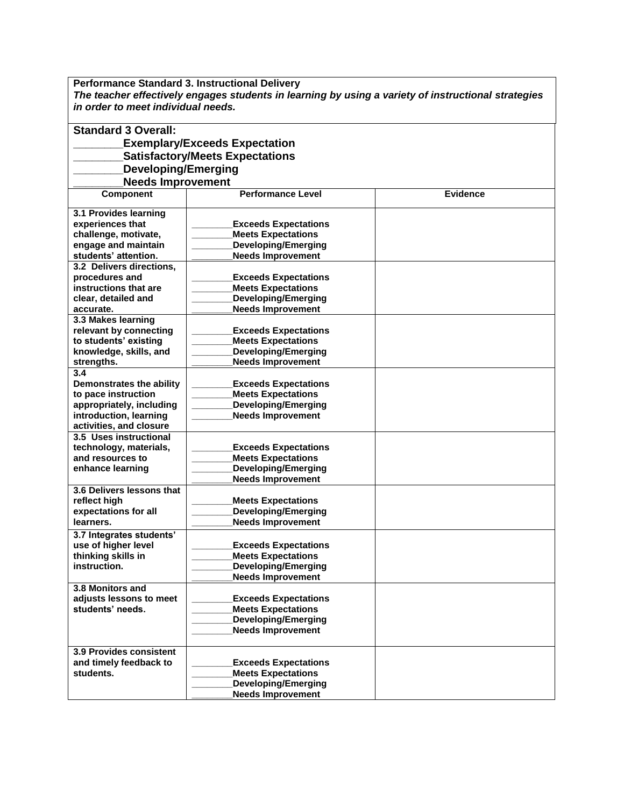**Performance Standard 3. Instructional Delivery** *The teacher effectively engages students in learning by using a variety of instructional strategies in order to meet individual needs.*

| <b>Exemplary/Exceeds Expectation</b><br><b>Satisfactory/Meets Expectations</b>                              |  |
|-------------------------------------------------------------------------------------------------------------|--|
|                                                                                                             |  |
|                                                                                                             |  |
| <b>Developing/Emerging</b>                                                                                  |  |
| <b>Needs Improvement</b>                                                                                    |  |
| Component<br><b>Performance Level</b><br><b>Evidence</b>                                                    |  |
|                                                                                                             |  |
| 3.1 Provides learning                                                                                       |  |
| experiences that<br><b>Exceeds Expectations</b>                                                             |  |
| challenge, motivate,<br><b>Meets Expectations</b>                                                           |  |
| engage and maintain<br><b>Developing/Emerging</b>                                                           |  |
| <b>Needs Improvement</b><br>students' attention.                                                            |  |
| 3.2 Delivers directions,                                                                                    |  |
| procedures and<br><b>Exceeds Expectations</b>                                                               |  |
| instructions that are<br><b>Meets Expectations</b>                                                          |  |
| <b>Developing/Emerging</b><br>clear, detailed and                                                           |  |
| <b>Needs Improvement</b><br>accurate.                                                                       |  |
| 3.3 Makes learning                                                                                          |  |
| relevant by connecting<br><b>Exceeds Expectations</b>                                                       |  |
| to students' existing<br><b>Meets Expectations</b>                                                          |  |
| <b>Developing/Emerging</b><br>knowledge, skills, and                                                        |  |
| <b>Needs Improvement</b><br>strengths.                                                                      |  |
| 3.4                                                                                                         |  |
| Demonstrates the ability<br><b>Exceeds Expectations</b><br>to pace instruction<br><b>Meets Expectations</b> |  |
| <b>Developing/Emerging</b>                                                                                  |  |
| appropriately, including<br><b>Needs Improvement</b><br>introduction, learning                              |  |
| activities, and closure                                                                                     |  |
| 3.5 Uses instructional                                                                                      |  |
| technology, materials,<br><b>Exceeds Expectations</b>                                                       |  |
| and resources to<br><b>Meets Expectations</b>                                                               |  |
| <b>Developing/Emerging</b><br>enhance learning                                                              |  |
| <b>Needs Improvement</b>                                                                                    |  |
| 3.6 Delivers lessons that                                                                                   |  |
| reflect high<br><b>Meets Expectations</b>                                                                   |  |
| <b>Developing/Emerging</b><br>expectations for all                                                          |  |
| <b>Needs Improvement</b><br>learners.                                                                       |  |
| 3.7 Integrates students'                                                                                    |  |
| use of higher level<br><b>Exceeds Expectations</b>                                                          |  |
| thinking skills in<br><b>Meets Expectations</b>                                                             |  |
| instruction.<br>Developing/Emerging                                                                         |  |
| <b>Needs Improvement</b>                                                                                    |  |
| 3.8 Monitors and                                                                                            |  |
| adjusts lessons to meet<br><b>Exceeds Expectations</b>                                                      |  |
| students' needs.<br><b>Meets Expectations</b>                                                               |  |
| <b>Developing/Emerging</b>                                                                                  |  |
| <b>Needs Improvement</b>                                                                                    |  |
|                                                                                                             |  |
| 3.9 Provides consistent<br>and timely feedback to                                                           |  |
| <b>Exceeds Expectations</b>                                                                                 |  |
|                                                                                                             |  |
| students.<br><b>Meets Expectations</b><br><b>Developing/Emerging</b>                                        |  |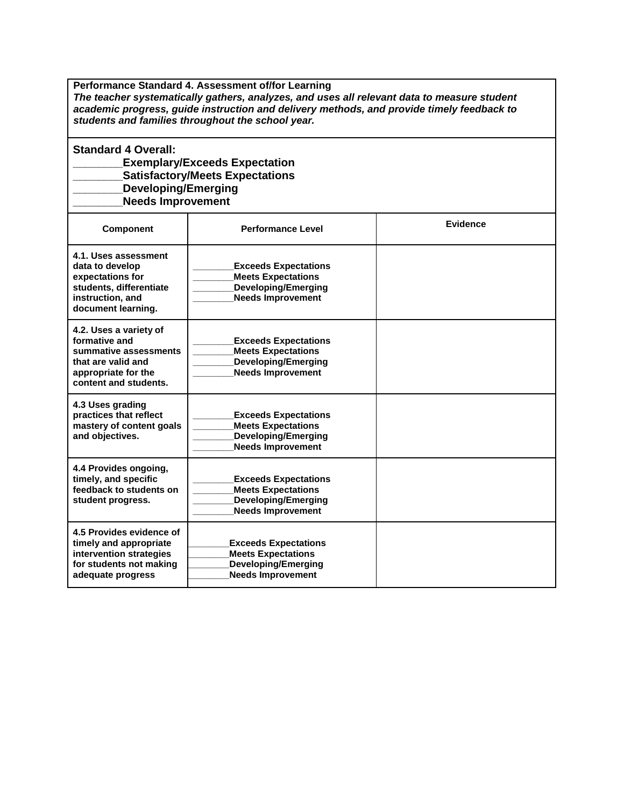**Performance Standard 4. Assessment of/for Learning**  *The teacher systematically gathers, analyzes, and uses all relevant data to measure student academic progress, guide instruction and delivery methods, and provide timely feedback to students and families throughout the school year.*

**Standard 4 Overall: \_\_\_\_\_\_\_\_Exemplary/Exceeds Expectation \_\_\_\_\_\_\_\_Satisfactory/Meets Expectations \_\_\_\_\_\_\_\_Developing/Emerging \_\_\_\_\_\_\_\_Needs Improvement**

| <b>Component</b>                                                                                                                       | <b>Performance Level</b>                                                                                           | <b>Evidence</b> |
|----------------------------------------------------------------------------------------------------------------------------------------|--------------------------------------------------------------------------------------------------------------------|-----------------|
| 4.1. Uses assessment<br>data to develop<br>expectations for<br>students, differentiate<br>instruction, and<br>document learning.       | <b>Exceeds Expectations</b><br><b>Meets Expectations</b><br><b>Developing/Emerging</b><br><b>Needs Improvement</b> |                 |
| 4.2. Uses a variety of<br>formative and<br>summative assessments<br>that are valid and<br>appropriate for the<br>content and students. | <b>Exceeds Expectations</b><br><b>Meets Expectations</b><br><b>Developing/Emerging</b><br><b>Needs Improvement</b> |                 |
| 4.3 Uses grading<br>practices that reflect<br>mastery of content goals<br>and objectives.                                              | <b>Exceeds Expectations</b><br><b>Meets Expectations</b><br><b>Developing/Emerging</b><br><b>Needs Improvement</b> |                 |
| 4.4 Provides ongoing,<br>timely, and specific<br>feedback to students on<br>student progress.                                          | <b>Exceeds Expectations</b><br><b>Meets Expectations</b><br><b>Developing/Emerging</b><br><b>Needs Improvement</b> |                 |
| 4.5 Provides evidence of<br>timely and appropriate<br>intervention strategies<br>for students not making<br>adequate progress          | <b>Exceeds Expectations</b><br><b>Meets Expectations</b><br><b>Developing/Emerging</b><br><b>Needs Improvement</b> |                 |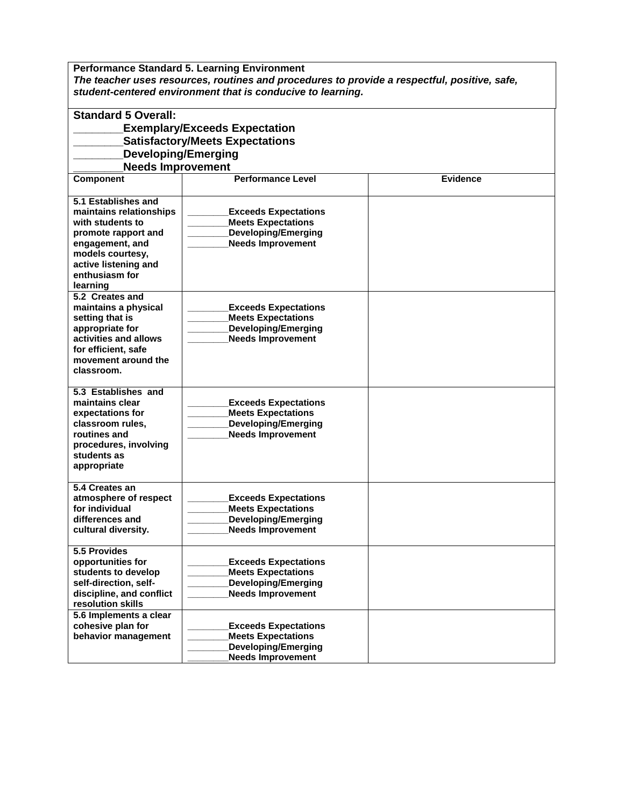**Performance Standard 5. Learning Environment**  *The teacher uses resources, routines and procedures to provide a respectful, positive, safe, student-centered environment that is conducive to learning.*

| <b>Standard 5 Overall:</b><br><b>Exemplary/Exceeds Expectation</b>   |                                                        |                 |  |  |
|----------------------------------------------------------------------|--------------------------------------------------------|-----------------|--|--|
| <b>Satisfactory/Meets Expectations</b><br><b>Developing/Emerging</b> |                                                        |                 |  |  |
|                                                                      |                                                        |                 |  |  |
| <b>Needs Improvement</b>                                             |                                                        |                 |  |  |
| <b>Component</b>                                                     | <b>Performance Level</b>                               | <b>Evidence</b> |  |  |
| 5.1 Establishes and                                                  |                                                        |                 |  |  |
| maintains relationships                                              | <b>Exceeds Expectations</b>                            |                 |  |  |
| with students to                                                     | <b>Meets Expectations</b>                              |                 |  |  |
| promote rapport and                                                  | <b>Developing/Emerging</b>                             |                 |  |  |
| engagement, and                                                      | <b>Needs Improvement</b>                               |                 |  |  |
| models courtesy,                                                     |                                                        |                 |  |  |
| active listening and                                                 |                                                        |                 |  |  |
| enthusiasm for                                                       |                                                        |                 |  |  |
| learning<br>5.2 Creates and                                          |                                                        |                 |  |  |
| maintains a physical                                                 | <b>Exceeds Expectations</b>                            |                 |  |  |
| setting that is                                                      | <b>Meets Expectations</b>                              |                 |  |  |
| appropriate for                                                      | <b>Developing/Emerging</b>                             |                 |  |  |
| activities and allows                                                | <b>Needs Improvement</b>                               |                 |  |  |
| for efficient. safe                                                  |                                                        |                 |  |  |
| movement around the                                                  |                                                        |                 |  |  |
| classroom.                                                           |                                                        |                 |  |  |
| 5.3 Establishes and                                                  |                                                        |                 |  |  |
| maintains clear                                                      | <b>Exceeds Expectations</b>                            |                 |  |  |
| expectations for                                                     | <b>Meets Expectations</b>                              |                 |  |  |
| classroom rules.                                                     | <b>Developing/Emerging</b>                             |                 |  |  |
| routines and                                                         | <b>Needs Improvement</b>                               |                 |  |  |
| procedures, involving<br>students as                                 |                                                        |                 |  |  |
| appropriate                                                          |                                                        |                 |  |  |
|                                                                      |                                                        |                 |  |  |
| 5.4 Creates an                                                       |                                                        |                 |  |  |
| atmosphere of respect                                                | <b>Exceeds Expectations</b>                            |                 |  |  |
| for individual                                                       | <b>Meets Expectations</b>                              |                 |  |  |
| differences and                                                      | <b>Developing/Emerging</b><br><b>Needs Improvement</b> |                 |  |  |
| cultural diversity.                                                  |                                                        |                 |  |  |
| 5.5 Provides                                                         |                                                        |                 |  |  |
| opportunities for                                                    | <b>Exceeds Expectations</b>                            |                 |  |  |
| students to develop                                                  | <b>Meets Expectations</b>                              |                 |  |  |
| self-direction, self-                                                | <b>Developing/Emerging</b>                             |                 |  |  |
| discipline, and conflict<br>resolution skills                        | <b>Needs Improvement</b>                               |                 |  |  |
| 5.6 Implements a clear                                               |                                                        |                 |  |  |
| cohesive plan for                                                    | <b>Exceeds Expectations</b>                            |                 |  |  |
| behavior management                                                  | <b>Meets Expectations</b>                              |                 |  |  |
|                                                                      | <b>Developing/Emerging</b>                             |                 |  |  |
|                                                                      | <b>Needs Improvement</b>                               |                 |  |  |